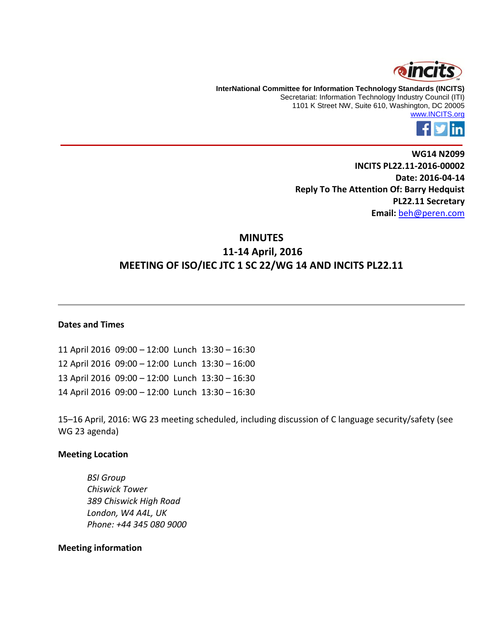

**InterNational Committee for Information Technology Standards (INCITS)** Secretariat: Information Technology Industry Council (ITI) 1101 K Street NW, Suite 610, Washington, DC 20005 [www.INCITS.org](http://www.incits.org/)



**WG14 N2099 INCITS PL22.11-2016-00002 Date: 2016-04-14 Reply To The Attention Of: Barry Hedquist PL22.11 Secretary Email:** [beh@peren.com](mailto:beh@peren.com)

# **MINUTES 11-14 April, 2016 MEETING OF ISO/IEC JTC 1 SC 22/WG 14 AND INCITS PL22.11**

#### **Dates and Times**

11 April 2016 09:00 – 12:00 Lunch 13:30 – 16:30 12 April 2016 09:00 – 12:00 Lunch 13:30 – 16:00 13 April 2016 09:00 – 12:00 Lunch 13:30 – 16:30 14 April 2016 09:00 – 12:00 Lunch 13:30 – 16:30

15–16 April, 2016: WG 23 meeting scheduled, including discussion of C language security/safety (see WG 23 agenda)

#### **Meeting Location**

*BSI Group Chiswick Tower 389 Chiswick High Road London, W4 A4L, UK Phone: +44 345 080 9000*

#### **Meeting information**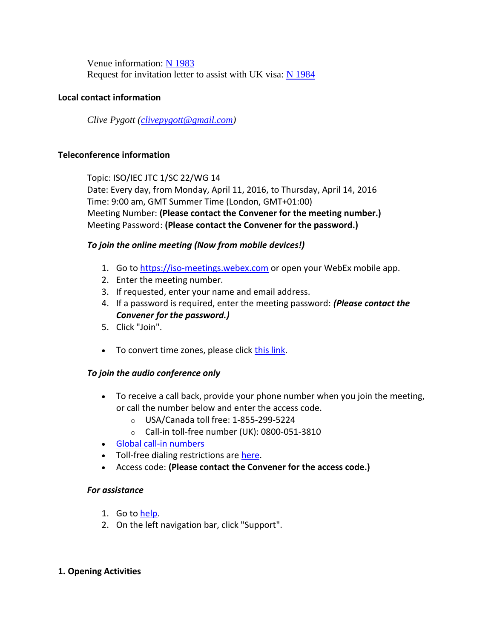Venue information: [N 1983](http://www.open-std.org/jtc1/sc22/wg14/www/docs/n1983.pdf) Request for invitation letter to assist with UK visa:  $N$  1984

# **Local contact information**

*Clive Pygott [\(clivepygott@gmail.com\)](mailto:clivepygott@gmail.com)*

## **Teleconference information**

Topic: ISO/IEC JTC 1/SC 22/WG 14 Date: Every day, from Monday, April 11, 2016, to Thursday, April 14, 2016 Time: 9:00 am, GMT Summer Time (London, GMT+01:00) Meeting Number: **(Please contact the Convener for the meeting number.)** Meeting Password: **(Please contact the Convener for the password.)**

## *To join the online meeting (Now from mobile devices!)*

- 1. Go t[o https://iso-meetings.webex.com](https://iso-meetings.webex.com/) or open your WebEx mobile app.
- 2. Enter the meeting number.
- 3. If requested, enter your name and email address.
- 4. If a password is required, enter the meeting password: *(Please contact the Convener for the password.)*
- 5. Click "Join".
- To convert time zones, please click [this link.](https://www.timeanddate.com/worldclock/converter.html)

## *To join the audio conference only*

- To receive a call back, provide your phone number when you join the meeting, or call the number below and enter the access code.
	- o USA/Canada toll free: 1-855-299-5224
	- o Call-in toll-free number (UK): 0800-051-3810
- [Global call-in numbers](https://iso-meetings.webex.com/iso-meetings/globalcallin.php?serviceType=MC&ED=323267507&tollFree=1)
- Toll-free dialing restrictions are [here.](http://www.webex.com/pdf/tollfree_restrictions.pdf)
- Access code: **(Please contact the Convener for the access code.)**

## *For assistance*

- 1. Go t[o help.](https://iso-meetings.webex.com/iso-meetings/mc)
- 2. On the left navigation bar, click "Support".

## **1. Opening Activities**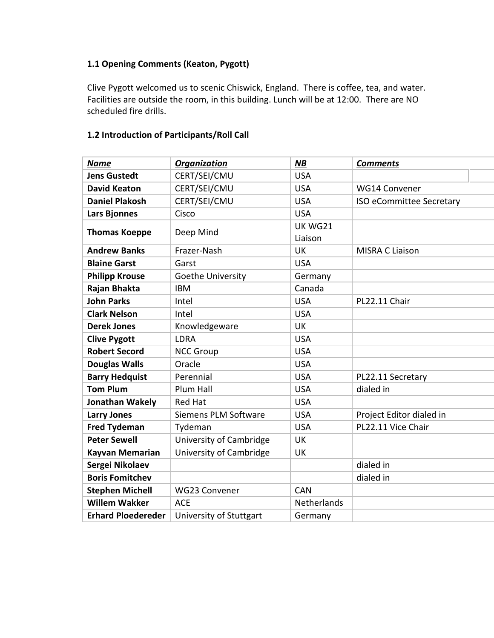# **1.1 Opening Comments (Keaton, Pygott)**

Clive Pygott welcomed us to scenic Chiswick, England. There is coffee, tea, and water. Facilities are outside the room, in this building. Lunch will be at 12:00. There are NO scheduled fire drills.

# **1.2 Introduction of Participants/Roll Call**

| Name                      | <b>Organization</b>         | <b>NB</b>                 | <b>Comments</b>          |
|---------------------------|-----------------------------|---------------------------|--------------------------|
| <b>Jens Gustedt</b>       | CERT/SEI/CMU                | <b>USA</b>                |                          |
| <b>David Keaton</b>       | CERT/SEI/CMU                | <b>USA</b>                | WG14 Convener            |
| <b>Daniel Plakosh</b>     | CERT/SEI/CMU                | <b>USA</b>                | ISO eCommittee Secretary |
| <b>Lars Bjonnes</b>       | Cisco                       | <b>USA</b>                |                          |
| <b>Thomas Koeppe</b>      | Deep Mind                   | <b>UK WG21</b><br>Liaison |                          |
| <b>Andrew Banks</b>       | Frazer-Nash                 | UK                        | <b>MISRA C Liaison</b>   |
| <b>Blaine Garst</b>       | Garst                       | <b>USA</b>                |                          |
| <b>Philipp Krouse</b>     | Goethe University           | Germany                   |                          |
| Rajan Bhakta              | <b>IBM</b>                  | Canada                    |                          |
| <b>John Parks</b>         | Intel                       | <b>USA</b>                | PL22.11 Chair            |
| <b>Clark Nelson</b>       | Intel                       | <b>USA</b>                |                          |
| <b>Derek Jones</b>        | Knowledgeware               | <b>UK</b>                 |                          |
| <b>Clive Pygott</b>       | <b>LDRA</b>                 | <b>USA</b>                |                          |
| <b>Robert Secord</b>      | <b>NCC Group</b>            | <b>USA</b>                |                          |
| <b>Douglas Walls</b>      | Oracle                      | <b>USA</b>                |                          |
| <b>Barry Hedquist</b>     | Perennial                   | <b>USA</b>                | PL22.11 Secretary        |
| <b>Tom Plum</b>           | Plum Hall                   | <b>USA</b>                | dialed in                |
| Jonathan Wakely           | <b>Red Hat</b>              | <b>USA</b>                |                          |
| <b>Larry Jones</b>        | <b>Siemens PLM Software</b> | <b>USA</b>                | Project Editor dialed in |
| <b>Fred Tydeman</b>       | Tydeman                     | <b>USA</b>                | PL22.11 Vice Chair       |
| <b>Peter Sewell</b>       | University of Cambridge     | <b>UK</b>                 |                          |
| <b>Kayvan Memarian</b>    | University of Cambridge     | <b>UK</b>                 |                          |
| Sergei Nikolaev           |                             |                           | dialed in                |
| <b>Boris Fomitchev</b>    |                             |                           | dialed in                |
| <b>Stephen Michell</b>    | <b>WG23 Convener</b>        | <b>CAN</b>                |                          |
| <b>Willem Wakker</b>      | <b>ACE</b>                  | <b>Netherlands</b>        |                          |
| <b>Erhard Ploedereder</b> | University of Stuttgart     | Germany                   |                          |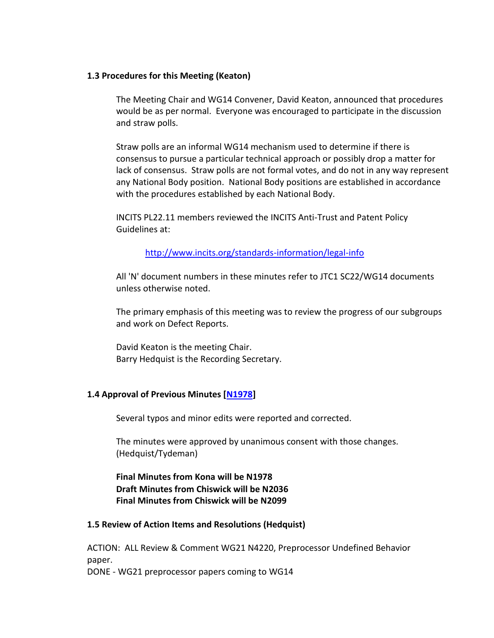#### **1.3 Procedures for this Meeting (Keaton)**

The Meeting Chair and WG14 Convener, David Keaton, announced that procedures would be as per normal. Everyone was encouraged to participate in the discussion and straw polls.

Straw polls are an informal WG14 mechanism used to determine if there is consensus to pursue a particular technical approach or possibly drop a matter for lack of consensus. Straw polls are not formal votes, and do not in any way represent any National Body position. National Body positions are established in accordance with the procedures established by each National Body.

INCITS PL22.11 members reviewed the INCITS Anti-Trust and Patent Policy Guidelines at:

<http://www.incits.org/standards-information/legal-info>

All 'N' document numbers in these minutes refer to JTC1 SC22/WG14 documents unless otherwise noted.

The primary emphasis of this meeting was to review the progress of our subgroups and work on Defect Reports.

David Keaton is the meeting Chair. Barry Hedquist is the Recording Secretary.

## **1.4 Approval of Previous Minutes [\[N1978\]](http://www.open-std.org/jtc1/sc22/wg14/www/docs/n1978.pdf)**

Several typos and minor edits were reported and corrected.

The minutes were approved by unanimous consent with those changes. (Hedquist/Tydeman)

**Final Minutes from Kona will be N1978 Draft Minutes from Chiswick will be N2036 Final Minutes from Chiswick will be N2099**

## **1.5 Review of Action Items and Resolutions (Hedquist)**

ACTION: ALL Review & Comment WG21 N4220, Preprocessor Undefined Behavior paper. DONE - WG21 preprocessor papers coming to WG14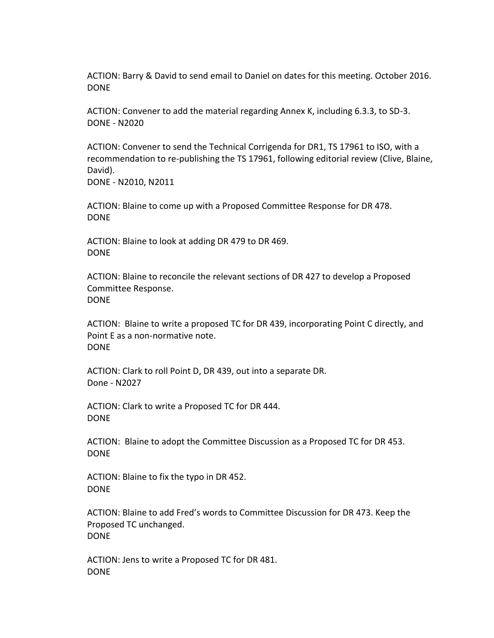ACTION: Barry & David to send email to Daniel on dates for this meeting. October 2016. DONE

ACTION: Convener to add the material regarding Annex K, including 6.3.3, to SD-3. DONE - N2020

ACTION: Convener to send the Technical Corrigenda for DR1, TS 17961 to ISO, with a recommendation to re-publishing the TS 17961, following editorial review (Clive, Blaine, David).

DONE - N2010, N2011

ACTION: Blaine to come up with a Proposed Committee Response for DR 478. DONE

ACTION: Blaine to look at adding DR 479 to DR 469. DONE

ACTION: Blaine to reconcile the relevant sections of DR 427 to develop a Proposed Committee Response. DONE

ACTION: Blaine to write a proposed TC for DR 439, incorporating Point C directly, and Point E as a non-normative note. DONE

ACTION: Clark to roll Point D, DR 439, out into a separate DR. Done - N2027

ACTION: Clark to write a Proposed TC for DR 444. DONE

ACTION: Blaine to adopt the Committee Discussion as a Proposed TC for DR 453. DONE

ACTION: Blaine to fix the typo in DR 452. DONE

ACTION: Blaine to add Fred's words to Committee Discussion for DR 473. Keep the Proposed TC unchanged. DONE

ACTION: Jens to write a Proposed TC for DR 481. DONE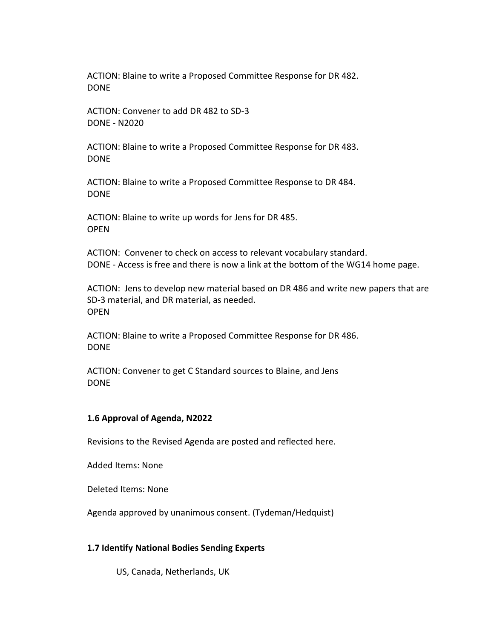ACTION: Blaine to write a Proposed Committee Response for DR 482. DONE

ACTION: Convener to add DR 482 to SD-3 DONE - N2020

ACTION: Blaine to write a Proposed Committee Response for DR 483. DONE

ACTION: Blaine to write a Proposed Committee Response to DR 484. DONE

ACTION: Blaine to write up words for Jens for DR 485. OPEN

ACTION: Convener to check on access to relevant vocabulary standard. DONE - Access is free and there is now a link at the bottom of the WG14 home page.

ACTION: Jens to develop new material based on DR 486 and write new papers that are SD-3 material, and DR material, as needed. **OPFN** 

ACTION: Blaine to write a Proposed Committee Response for DR 486. DONE

ACTION: Convener to get C Standard sources to Blaine, and Jens DONE

#### **1.6 Approval of Agenda, N2022**

Revisions to the Revised Agenda are posted and reflected here.

Added Items: None

Deleted Items: None

Agenda approved by unanimous consent. (Tydeman/Hedquist)

## **1.7 Identify National Bodies Sending Experts**

US, Canada, Netherlands, UK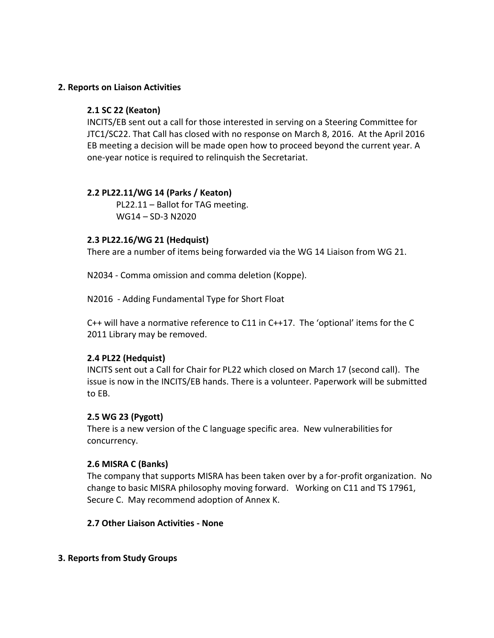# **2. Reports on Liaison Activities**

# **2.1 SC 22 (Keaton)**

INCITS/EB sent out a call for those interested in serving on a Steering Committee for JTC1/SC22. That Call has closed with no response on March 8, 2016. At the April 2016 EB meeting a decision will be made open how to proceed beyond the current year. A one-year notice is required to relinquish the Secretariat.

# **2.2 PL22.11/WG 14 (Parks / Keaton)**

PL22.11 – Ballot for TAG meeting. WG14 – SD-3 N2020

# **2.3 PL22.16/WG 21 (Hedquist)**

There are a number of items being forwarded via the WG 14 Liaison from WG 21.

N2034 - Comma omission and comma deletion (Koppe).

N2016 - Adding Fundamental Type for Short Float

C++ will have a normative reference to C11 in C++17. The 'optional' items for the C 2011 Library may be removed.

## **2.4 PL22 (Hedquist)**

INCITS sent out a Call for Chair for PL22 which closed on March 17 (second call). The issue is now in the INCITS/EB hands. There is a volunteer. Paperwork will be submitted to EB.

## **2.5 WG 23 (Pygott)**

There is a new version of the C language specific area. New vulnerabilities for concurrency.

## **2.6 MISRA C (Banks)**

The company that supports MISRA has been taken over by a for-profit organization. No change to basic MISRA philosophy moving forward. Working on C11 and TS 17961, Secure C. May recommend adoption of Annex K.

## **2.7 Other Liaison Activities - None**

## **3. Reports from Study Groups**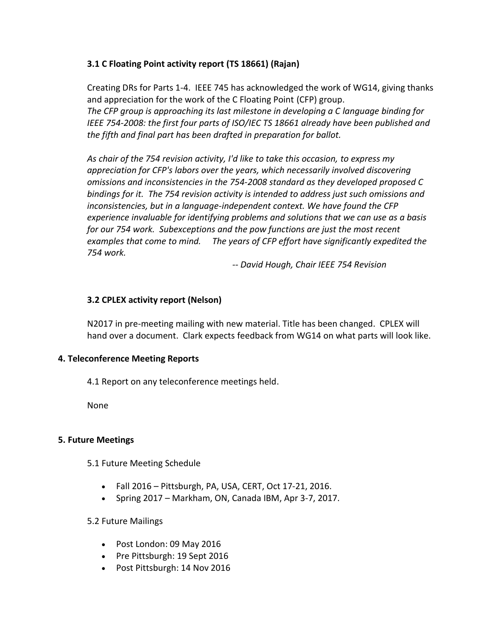# **3.1 C Floating Point activity report (TS 18661) (Rajan)**

Creating DRs for Parts 1-4. IEEE 745 has acknowledged the work of WG14, giving thanks and appreciation for the work of the C Floating Point (CFP) group. *The CFP group is approaching its last milestone in developing a C language binding for IEEE 754-2008: the first four parts of ISO/IEC TS 18661 already have been published and the fifth and final part has been drafted in preparation for ballot.*

*As chair of the 754 revision activity, I'd like to take this occasion, to express my appreciation for CFP's labors over the years, which necessarily involved discovering omissions and inconsistencies in the 754-2008 standard as they developed proposed C bindings for it. The 754 revision activity is intended to address just such omissions and inconsistencies, but in a language-independent context. We have found the CFP experience invaluable for identifying problems and solutions that we can use as a basis for our 754 work. Subexceptions and the pow functions are just the most recent examples that come to mind. The years of CFP effort have significantly expedited the 754 work.*

*-- David Hough, Chair IEEE 754 Revision*

# **3.2 CPLEX activity report (Nelson)**

N2017 in pre-meeting mailing with new material. Title has been changed. CPLEX will hand over a document. Clark expects feedback from WG14 on what parts will look like.

# **4. Teleconference Meeting Reports**

4.1 Report on any teleconference meetings held.

None

## **5. Future Meetings**

5.1 Future Meeting Schedule

- $\bullet$  Fall 2016 Pittsburgh, PA, USA, CERT, Oct 17-21, 2016.
- Spring 2017 Markham, ON, Canada IBM, Apr 3-7, 2017.

## 5.2 Future Mailings

- Post London: 09 May 2016
- Pre Pittsburgh: 19 Sept 2016
- Post Pittsburgh: 14 Nov 2016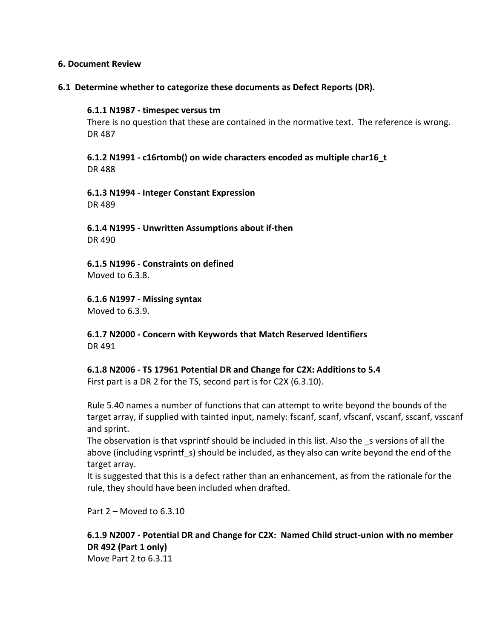#### **6. Document Review**

#### **6.1 Determine whether to categorize these documents as Defect Reports (DR).**

#### **6.1.1 N1987 - timespec versus tm**

There is no question that these are contained in the normative text. The reference is wrong. DR 487

**6.1.2 N1991 - c16rtomb() on wide characters encoded as multiple char16\_t** DR 488

#### **6.1.3 N1994 - Integer Constant Expression** DR 489

**6.1.4 N1995 - Unwritten Assumptions about if-then** DR 490

**6.1.5 N1996 - Constraints on defined** Moved to 6.3.8.

**6.1.6 N1997 - Missing syntax**

Moved to 6.3.9.

**6.1.7 N2000 - Concern with Keywords that Match Reserved Identifiers** DR 491

**6.1.8 N2006 - TS 17961 Potential DR and Change for C2X: Additions to 5.4**

First part is a DR 2 for the TS, second part is for C2X (6.3.10).

Rule 5.40 names a number of functions that can attempt to write beyond the bounds of the target array, if supplied with tainted input, namely: fscanf, scanf, vfscanf, vscanf, sscanf, vsscanf and sprint.

The observation is that vsprintf should be included in this list. Also the s versions of all the above (including vsprintf s) should be included, as they also can write beyond the end of the target array.

It is suggested that this is a defect rather than an enhancement, as from the rationale for the rule, they should have been included when drafted.

Part 2 – Moved to 6.3.10

# **6.1.9 N2007 - Potential DR and Change for C2X: Named Child struct-union with no member DR 492 (Part 1 only)**

Move Part 2 to 6.3.11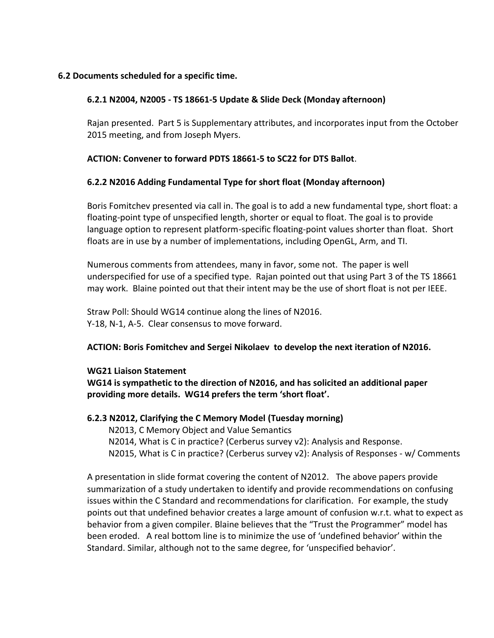## **6.2 Documents scheduled for a specific time.**

## **6.2.1 N2004, N2005 - TS 18661-5 Update & Slide Deck (Monday afternoon)**

Rajan presented. Part 5 is Supplementary attributes, and incorporates input from the October 2015 meeting, and from Joseph Myers.

## **ACTION: Convener to forward PDTS 18661-5 to SC22 for DTS Ballot**.

# **6.2.2 N2016 Adding Fundamental Type for short float (Monday afternoon)**

Boris Fomitchev presented via call in. The goal is to add a new fundamental type, short float: a floating-point type of unspecified length, shorter or equal to float. The goal is to provide language option to represent platform-specific floating-point values shorter than float. Short floats are in use by a number of implementations, including OpenGL, Arm, and TI.

Numerous comments from attendees, many in favor, some not. The paper is well underspecified for use of a specified type. Rajan pointed out that using Part 3 of the TS 18661 may work. Blaine pointed out that their intent may be the use of short float is not per IEEE.

Straw Poll: Should WG14 continue along the lines of N2016. Y-18, N-1, A-5. Clear consensus to move forward.

## **ACTION: Boris Fomitchev and Sergei Nikolaev to develop the next iteration of N2016.**

## **WG21 Liaison Statement**

**WG14 is sympathetic to the direction of N2016, and has solicited an additional paper providing more details. WG14 prefers the term 'short float'.**

## **6.2.3 N2012, Clarifying the C Memory Model (Tuesday morning)**

 N2013, C Memory Object and Value Semantics N2014, What is C in practice? (Cerberus survey v2): Analysis and Response. N2015, What is C in practice? (Cerberus survey v2): Analysis of Responses - w/ Comments

A presentation in slide format covering the content of N2012. The above papers provide summarization of a study undertaken to identify and provide recommendations on confusing issues within the C Standard and recommendations for clarification. For example, the study points out that undefined behavior creates a large amount of confusion w.r.t. what to expect as behavior from a given compiler. Blaine believes that the "Trust the Programmer" model has been eroded. A real bottom line is to minimize the use of 'undefined behavior' within the Standard. Similar, although not to the same degree, for 'unspecified behavior'.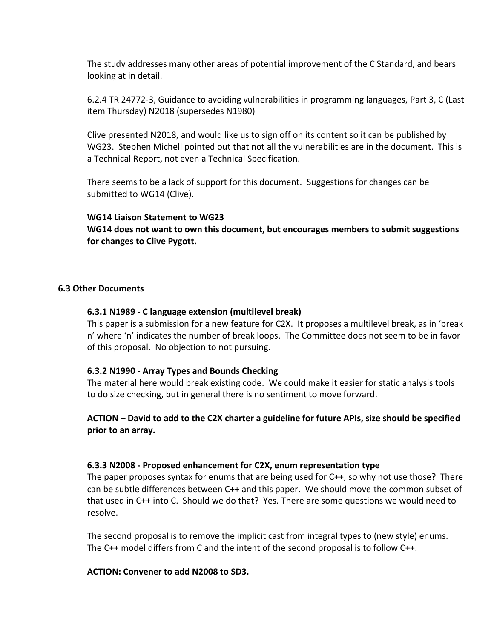The study addresses many other areas of potential improvement of the C Standard, and bears looking at in detail.

6.2.4 TR 24772-3, Guidance to avoiding vulnerabilities in programming languages, Part 3, C (Last item Thursday) N2018 (supersedes N1980)

Clive presented N2018, and would like us to sign off on its content so it can be published by WG23. Stephen Michell pointed out that not all the vulnerabilities are in the document. This is a Technical Report, not even a Technical Specification.

There seems to be a lack of support for this document. Suggestions for changes can be submitted to WG14 (Clive).

#### **WG14 Liaison Statement to WG23**

**WG14 does not want to own this document, but encourages members to submit suggestions for changes to Clive Pygott.**

#### **6.3 Other Documents**

#### **6.3.1 N1989 - C language extension (multilevel break)**

This paper is a submission for a new feature for C2X. It proposes a multilevel break, as in 'break n' where 'n' indicates the number of break loops. The Committee does not seem to be in favor of this proposal. No objection to not pursuing.

## **6.3.2 N1990 - Array Types and Bounds Checking**

The material here would break existing code. We could make it easier for static analysis tools to do size checking, but in general there is no sentiment to move forward.

# **ACTION – David to add to the C2X charter a guideline for future APIs, size should be specified prior to an array.**

#### **6.3.3 N2008 - Proposed enhancement for C2X, enum representation type**

The paper proposes syntax for enums that are being used for C++, so why not use those? There can be subtle differences between C++ and this paper. We should move the common subset of that used in C++ into C. Should we do that? Yes. There are some questions we would need to resolve.

The second proposal is to remove the implicit cast from integral types to (new style) enums. The C++ model differs from C and the intent of the second proposal is to follow C++.

#### **ACTION: Convener to add N2008 to SD3.**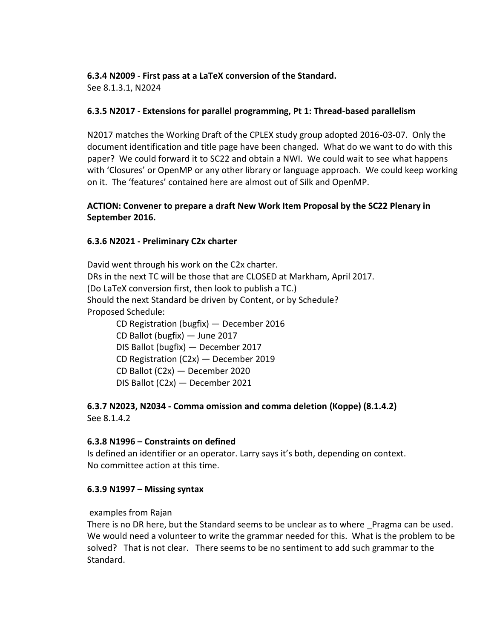# **6.3.4 N2009 - First pass at a LaTeX conversion of the Standard.**

See 8.1.3.1, N2024

# **6.3.5 N2017 - Extensions for parallel programming, Pt 1: Thread-based parallelism**

N2017 matches the Working Draft of the CPLEX study group adopted 2016-03-07. Only the document identification and title page have been changed. What do we want to do with this paper? We could forward it to SC22 and obtain a NWI. We could wait to see what happens with 'Closures' or OpenMP or any other library or language approach. We could keep working on it. The 'features' contained here are almost out of Silk and OpenMP.

# **ACTION: Convener to prepare a draft New Work Item Proposal by the SC22 Plenary in September 2016.**

# **6.3.6 N2021 - Preliminary C2x charter**

David went through his work on the C2x charter. DRs in the next TC will be those that are CLOSED at Markham, April 2017. (Do LaTeX conversion first, then look to publish a TC.) Should the next Standard be driven by Content, or by Schedule? Proposed Schedule:

CD Registration (bugfix) — December 2016 CD Ballot (bugfix) — June 2017 DIS Ballot (bugfix) — December 2017 CD Registration (C2x) — December 2019 CD Ballot (C2x) — December 2020 DIS Ballot (C2x) — December 2021

# **6.3.7 N2023, N2034 - Comma omission and comma deletion (Koppe) (8.1.4.2)** See 8.1.4.2

# **6.3.8 N1996 – Constraints on defined**

Is defined an identifier or an operator. Larry says it's both, depending on context. No committee action at this time.

# **6.3.9 N1997 – Missing syntax**

## examples from Rajan

There is no DR here, but the Standard seems to be unclear as to where Pragma can be used. We would need a volunteer to write the grammar needed for this. What is the problem to be solved? That is not clear. There seems to be no sentiment to add such grammar to the Standard.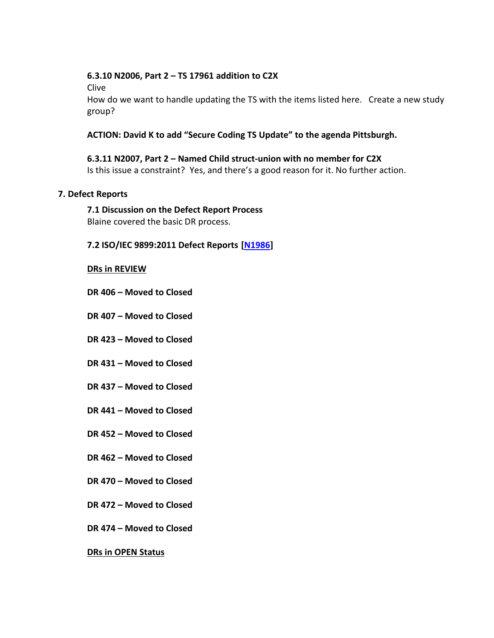## **6.3.10 N2006, Part 2 – TS 17961 addition to C2X**

Clive

How do we want to handle updating the TS with the items listed here. Create a new study group?

# **ACTION: David K to add "Secure Coding TS Update" to the agenda Pittsburgh.**

**6.3.11 N2007, Part 2 – Named Child struct-union with no member for C2X** Is this issue a constraint? Yes, and there's a good reason for it. No further action.

## **7. Defect Reports**

# **7.1 Discussion on the Defect Report Process**

Blaine covered the basic DR process.

# **7.2 ISO/IEC 9899:2011 Defect Reports [\[N1986\]](http://www.open-std.org/jtc1/sc22/wg14/www/docs/n1986.htm)**

#### **DRs in REVIEW**

- **DR 406 – Moved to Closed**
- **DR 407 – Moved to Closed**
- **DR 423 – Moved to Closed**
- **DR 431 – Moved to Closed**
- **DR 437 – Moved to Closed**
- **DR 441 – Moved to Closed**
- **DR 452 – Moved to Closed**
- **DR 462 – Moved to Closed**
- **DR 470 – Moved to Closed**
- **DR 472 – Moved to Closed**
- **DR 474 – Moved to Closed**

## **DRs in OPEN Status**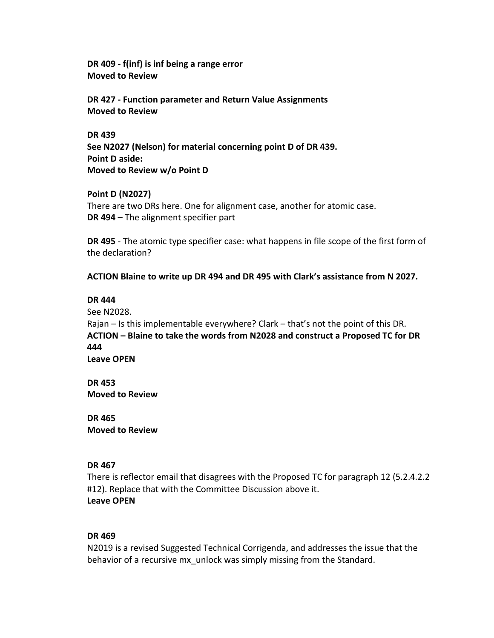**DR 409 - f(inf) is inf being a range error Moved to Review**

**DR 427 - Function parameter and Return Value Assignments Moved to Review**

**DR 439 See N2027 (Nelson) for material concerning point D of DR 439. Point D aside: Moved to Review w/o Point D**

**Point D (N2027)** There are two DRs here. One for alignment case, another for atomic case. **DR 494** – The alignment specifier part

**DR 495** - The atomic type specifier case: what happens in file scope of the first form of the declaration?

**ACTION Blaine to write up DR 494 and DR 495 with Clark's assistance from N 2027.**

#### **DR 444**

See N2028.

Rajan – Is this implementable everywhere? Clark – that's not the point of this DR. **ACTION – Blaine to take the words from N2028 and construct a Proposed TC for DR 444 Leave OPEN**

**DR 453**

**Moved to Review**

**DR 465 Moved to Review**

## **DR 467**

There is reflector email that disagrees with the Proposed TC for paragraph 12 (5.2.4.2.2 #12). Replace that with the Committee Discussion above it. **Leave OPEN**

## **DR 469**

N2019 is a revised Suggested Technical Corrigenda, and addresses the issue that the behavior of a recursive mx\_unlock was simply missing from the Standard.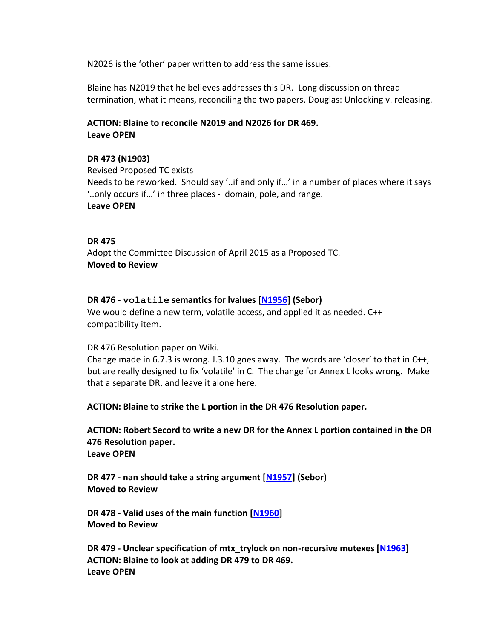N2026 is the 'other' paper written to address the same issues.

Blaine has N2019 that he believes addresses this DR. Long discussion on thread termination, what it means, reconciling the two papers. Douglas: Unlocking v. releasing.

## **ACTION: Blaine to reconcile N2019 and N2026 for DR 469. Leave OPEN**

## **DR 473 (N1903)**

Revised Proposed TC exists Needs to be reworked. Should say '..if and only if…' in a number of places where it says '..only occurs if…' in three places - domain, pole, and range. **Leave OPEN**

#### **DR 475**

Adopt the Committee Discussion of April 2015 as a Proposed TC. **Moved to Review**

#### **DR 476 - volatile semantics for lvalues [\[N1956\]](http://www.open-std.org/jtc1/sc22/wg14/www/docs/n1956.htm) (Sebor)**

We would define a new term, volatile access, and applied it as needed. C++ compatibility item.

#### DR 476 Resolution paper on Wiki.

Change made in 6.7.3 is wrong. J.3.10 goes away. The words are 'closer' to that in C++, but are really designed to fix 'volatile' in C. The change for Annex L looks wrong. Make that a separate DR, and leave it alone here.

**ACTION: Blaine to strike the L portion in the DR 476 Resolution paper.**

**ACTION: Robert Secord to write a new DR for the Annex L portion contained in the DR 476 Resolution paper. Leave OPEN**

**DR 477 - nan should take a string argument [\[N1957\]](http://www.open-std.org/jtc1/sc22/wg14/www/docs/n1957.htm) (Sebor) Moved to Review**

**DR 478 - Valid uses of the main function [\[N1960\]](http://www.open-std.org/jtc1/sc22/wg14/www/docs/n1960.htm) Moved to Review**

**DR 479 - Unclear specification of mtx\_trylock on non-recursive mutexes [\[N1963\]](http://www.open-std.org/jtc1/sc22/wg14/www/docs/n1963.htm) ACTION: Blaine to look at adding DR 479 to DR 469. Leave OPEN**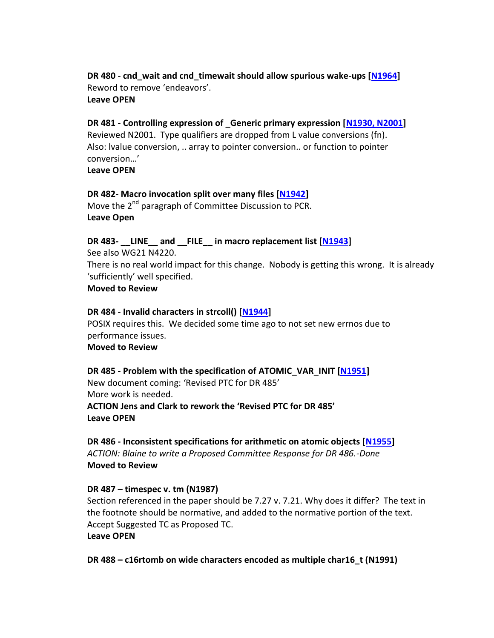**DR 480 - cnd\_wait and cnd\_timewait should allow spurious wake-ups [\[N1964\]](http://www.open-std.org/jtc1/sc22/wg14/www/docs/n1964.htm)** Reword to remove 'endeavors'. **Leave OPEN**

#### **DR 481 - Controlling expression of \_Generic primary expression [\[N1930,](http://www.open-std.org/jtc1/sc22/wg14/www/docs/n1930.htm) N2001]**

Reviewed N2001. Type qualifiers are dropped from L value conversions (fn). Also: lvalue conversion, .. array to pointer conversion.. or function to pointer conversion…'

**Leave OPEN**

#### **DR 482- Macro invocation split over many files [\[N1942\]](http://www.open-std.org/jtc1/sc22/wg14/www/docs/n1942.htm)**

Move the 2<sup>nd</sup> paragraph of Committee Discussion to PCR. **Leave Open**

#### **DR 483- \_\_LINE\_\_ and \_\_FILE\_\_ in macro replacement list [\[N1943\]](http://www.open-std.org/jtc1/sc22/wg14/www/docs/n1943.htm)**

See also WG21 N4220. There is no real world impact for this change. Nobody is getting this wrong. It is already 'sufficiently' well specified.

## **Moved to Review**

#### **DR 484 - Invalid characters in strcoll() [\[N1944\]](http://www.open-std.org/jtc1/sc22/wg14/www/docs/n1944.htm)**

POSIX requires this. We decided some time ago to not set new errnos due to performance issues. **Moved to Review**

# **DR 485 - Problem with the specification of ATOMIC\_VAR\_INIT [\[N1951\]](http://www.open-std.org/jtc1/sc22/wg14/www/docs/n1951.htm)**

New document coming: 'Revised PTC for DR 485' More work is needed. **ACTION Jens and Clark to rework the 'Revised PTC for DR 485' Leave OPEN**

**DR 486 - Inconsistent specifications for arithmetic on atomic objects [\[N1955\]](http://www.open-std.org/jtc1/sc22/wg14/www/docs/n1955.htm)** *ACTION: Blaine to write a Proposed Committee Response for DR 486.-Done* **Moved to Review**

#### **DR 487 – timespec v. tm (N1987)**

Section referenced in the paper should be 7.27 v. 7.21. Why does it differ? The text in the footnote should be normative, and added to the normative portion of the text. Accept Suggested TC as Proposed TC.

# **Leave OPEN**

**DR 488 – c16rtomb on wide characters encoded as multiple char16\_t (N1991)**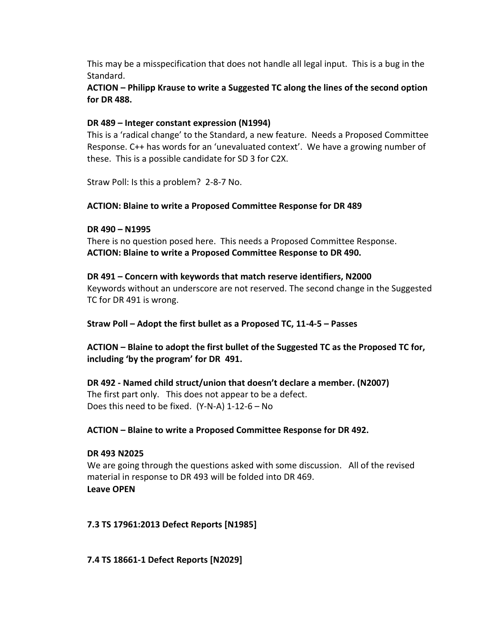This may be a misspecification that does not handle all legal input. This is a bug in the Standard.

**ACTION – Philipp Krause to write a Suggested TC along the lines of the second option for DR 488.** 

# **DR 489 – Integer constant expression (N1994)**

This is a 'radical change' to the Standard, a new feature. Needs a Proposed Committee Response. C++ has words for an 'unevaluated context'. We have a growing number of these. This is a possible candidate for SD 3 for C2X.

Straw Poll: Is this a problem? 2-8-7 No.

# **ACTION: Blaine to write a Proposed Committee Response for DR 489**

## **DR 490 – N1995**

There is no question posed here. This needs a Proposed Committee Response. **ACTION: Blaine to write a Proposed Committee Response to DR 490.**

## **DR 491 – Concern with keywords that match reserve identifiers, N2000**

Keywords without an underscore are not reserved. The second change in the Suggested TC for DR 491 is wrong.

**Straw Poll – Adopt the first bullet as a Proposed TC, 11-4-5 – Passes**

**ACTION – Blaine to adopt the first bullet of the Suggested TC as the Proposed TC for, including 'by the program' for DR 491.**

**DR 492 - Named child struct/union that doesn't declare a member. (N2007)** The first part only. This does not appear to be a defect. Does this need to be fixed. (Y-N-A) 1-12-6 – No

# **ACTION – Blaine to write a Proposed Committee Response for DR 492.**

# **DR 493 N2025**

We are going through the questions asked with some discussion. All of the revised material in response to DR 493 will be folded into DR 469. **Leave OPEN**

# **7.3 TS 17961:2013 Defect Reports [N1985]**

**7.4 TS 18661-1 Defect Reports [N2029]**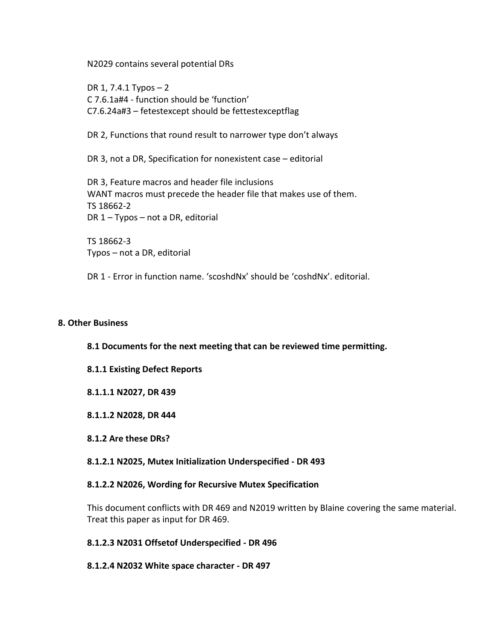N2029 contains several potential DRs

DR 1, 7.4.1 Typos – 2 C 7.6.1a#4 - function should be 'function' C7.6.24a#3 – fetestexcept should be fettestexceptflag

DR 2, Functions that round result to narrower type don't always

DR 3, not a DR, Specification for nonexistent case – editorial

DR 3, Feature macros and header file inclusions WANT macros must precede the header file that makes use of them. TS 18662-2 DR 1 – Typos – not a DR, editorial

TS 18662-3 Typos – not a DR, editorial

DR 1 - Error in function name. 'scoshdNx' should be 'coshdNx'. editorial.

#### **8. Other Business**

**8.1 Documents for the next meeting that can be reviewed time permitting.**

- **8.1.1 Existing Defect Reports**
- **8.1.1.1 N2027, DR 439**
- **8.1.1.2 N2028, DR 444**
- **8.1.2 Are these DRs?**

**8.1.2.1 N2025, Mutex Initialization Underspecified - DR 493**

#### **8.1.2.2 N2026, Wording for Recursive Mutex Specification**

This document conflicts with DR 469 and N2019 written by Blaine covering the same material. Treat this paper as input for DR 469.

#### **8.1.2.3 N2031 Offsetof Underspecified - DR 496**

#### **8.1.2.4 N2032 White space character - DR 497**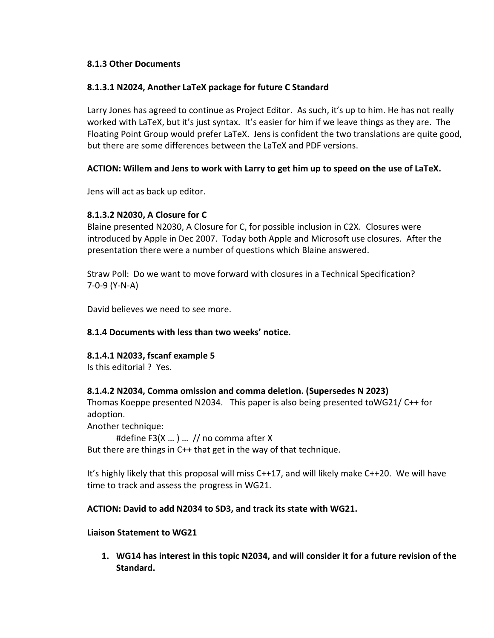# **8.1.3 Other Documents**

# **8.1.3.1 N2024, Another LaTeX package for future C Standard**

Larry Jones has agreed to continue as Project Editor. As such, it's up to him. He has not really worked with LaTeX, but it's just syntax. It's easier for him if we leave things as they are. The Floating Point Group would prefer LaTeX. Jens is confident the two translations are quite good, but there are some differences between the LaTeX and PDF versions.

# **ACTION: Willem and Jens to work with Larry to get him up to speed on the use of LaTeX.**

Jens will act as back up editor.

# **8.1.3.2 N2030, A Closure for C**

Blaine presented N2030, A Closure for C, for possible inclusion in C2X. Closures were introduced by Apple in Dec 2007. Today both Apple and Microsoft use closures. After the presentation there were a number of questions which Blaine answered.

Straw Poll: Do we want to move forward with closures in a Technical Specification? 7-0-9 (Y-N-A)

David believes we need to see more.

## **8.1.4 Documents with less than two weeks' notice.**

## **8.1.4.1 N2033, fscanf example 5**

Is this editorial ? Yes.

## **8.1.4.2 N2034, Comma omission and comma deletion. (Supersedes N 2023)**

Thomas Koeppe presented N2034. This paper is also being presented toWG21/ C++ for adoption.

Another technique:

#define F3(X … ) … // no comma after X

But there are things in C++ that get in the way of that technique.

It's highly likely that this proposal will miss C++17, and will likely make C++20. We will have time to track and assess the progress in WG21.

## **ACTION: David to add N2034 to SD3, and track its state with WG21.**

## **Liaison Statement to WG21**

**1. WG14 has interest in this topic N2034, and will consider it for a future revision of the Standard.**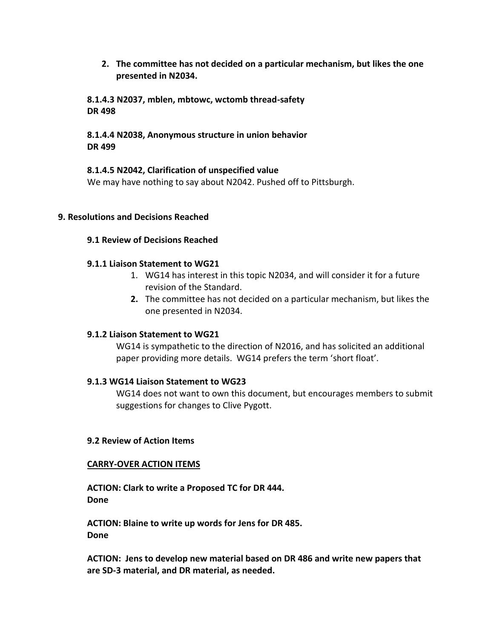**2. The committee has not decided on a particular mechanism, but likes the one presented in N2034.** 

**8.1.4.3 N2037, mblen, mbtowc, wctomb thread-safety DR 498**

# **8.1.4.4 N2038, Anonymous structure in union behavior DR 499**

# **8.1.4.5 N2042, Clarification of unspecified value**

We may have nothing to say about N2042. Pushed off to Pittsburgh.

# **9. Resolutions and Decisions Reached**

# **9.1 Review of Decisions Reached**

# **9.1.1 Liaison Statement to WG21**

- 1. WG14 has interest in this topic N2034, and will consider it for a future revision of the Standard.
- **2.** The committee has not decided on a particular mechanism, but likes the one presented in N2034.

## **9.1.2 Liaison Statement to WG21**

WG14 is sympathetic to the direction of N2016, and has solicited an additional paper providing more details. WG14 prefers the term 'short float'.

## **9.1.3 WG14 Liaison Statement to WG23**

WG14 does not want to own this document, but encourages members to submit suggestions for changes to Clive Pygott.

## **9.2 Review of Action Items**

## **CARRY-OVER ACTION ITEMS**

**ACTION: Clark to write a Proposed TC for DR 444. Done**

**ACTION: Blaine to write up words for Jens for DR 485. Done**

**ACTION: Jens to develop new material based on DR 486 and write new papers that are SD-3 material, and DR material, as needed.**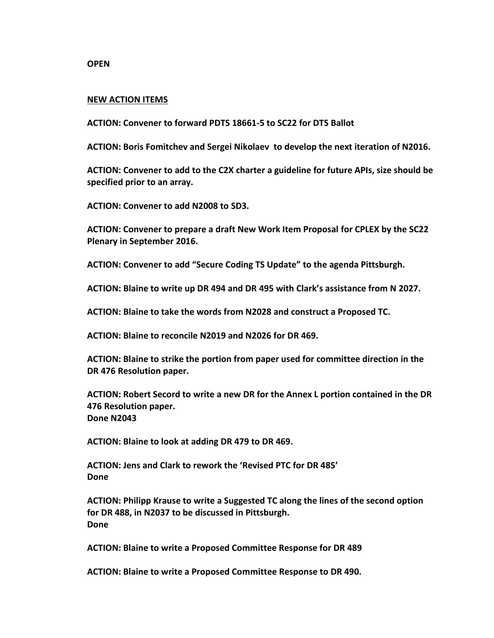**OPEN**

#### **NEW ACTION ITEMS**

**ACTION: Convener to forward PDTS 18661-5 to SC22 for DTS Ballot**

**ACTION: Boris Fomitchev and Sergei Nikolaev to develop the next iteration of N2016.**

**ACTION: Convener to add to the C2X charter a guideline for future APIs, size should be specified prior to an array.**

**ACTION: Convener to add N2008 to SD3.**

**ACTION: Convener to prepare a draft New Work Item Proposal for CPLEX by the SC22 Plenary in September 2016.**

**ACTION: Convener to add "Secure Coding TS Update" to the agenda Pittsburgh.**

**ACTION: Blaine to write up DR 494 and DR 495 with Clark's assistance from N 2027.**

**ACTION: Blaine to take the words from N2028 and construct a Proposed TC.**

**ACTION: Blaine to reconcile N2019 and N2026 for DR 469.**

**ACTION: Blaine to strike the portion from paper used for committee direction in the DR 476 Resolution paper.**

**ACTION: Robert Secord to write a new DR for the Annex L portion contained in the DR 476 Resolution paper. Done N2043**

**ACTION: Blaine to look at adding DR 479 to DR 469.**

**ACTION: Jens and Clark to rework the 'Revised PTC for DR 485' Done**

**ACTION: Philipp Krause to write a Suggested TC along the lines of the second option for DR 488, in N2037 to be discussed in Pittsburgh. Done**

**ACTION: Blaine to write a Proposed Committee Response for DR 489**

**ACTION: Blaine to write a Proposed Committee Response to DR 490.**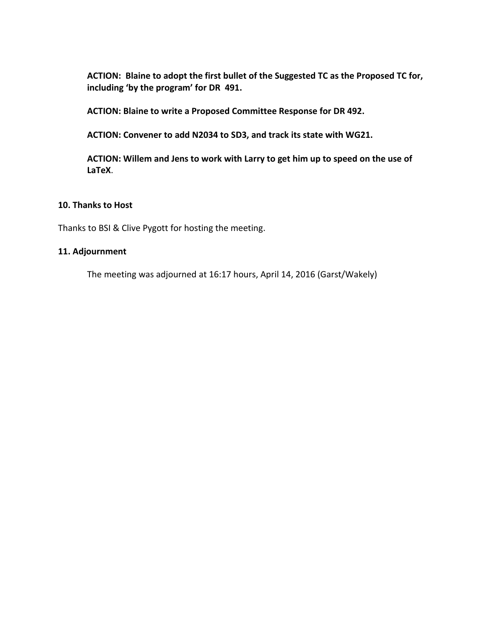**ACTION: Blaine to adopt the first bullet of the Suggested TC as the Proposed TC for, including 'by the program' for DR 491.**

**ACTION: Blaine to write a Proposed Committee Response for DR 492.**

**ACTION: Convener to add N2034 to SD3, and track its state with WG21.** 

**ACTION: Willem and Jens to work with Larry to get him up to speed on the use of LaTeX**.

## **10. Thanks to Host**

Thanks to BSI & Clive Pygott for hosting the meeting.

## **11. Adjournment**

The meeting was adjourned at 16:17 hours, April 14, 2016 (Garst/Wakely)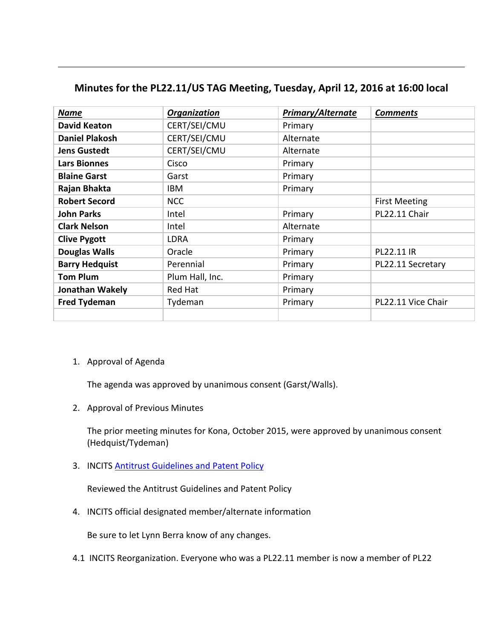| <b>Name</b>           | Organization    | Primary/Alternate | <b>Comments</b>      |
|-----------------------|-----------------|-------------------|----------------------|
| <b>David Keaton</b>   | CERT/SEI/CMU    | Primary           |                      |
| <b>Daniel Plakosh</b> | CERT/SEI/CMU    | Alternate         |                      |
| <b>Jens Gustedt</b>   | CERT/SEI/CMU    | Alternate         |                      |
| <b>Lars Bionnes</b>   | Cisco           | Primary           |                      |
| <b>Blaine Garst</b>   | Garst           | Primary           |                      |
| Rajan Bhakta          | <b>IBM</b>      | Primary           |                      |
| <b>Robert Secord</b>  | <b>NCC</b>      |                   | <b>First Meeting</b> |
| <b>John Parks</b>     | Intel           | Primary           | PL22.11 Chair        |
| <b>Clark Nelson</b>   | Intel           | Alternate         |                      |
| <b>Clive Pygott</b>   | <b>LDRA</b>     | Primary           |                      |
| <b>Douglas Walls</b>  | Oracle          | Primary           | PL22.11 IR           |
| <b>Barry Hedquist</b> | Perennial       | Primary           | PL22.11 Secretary    |
| <b>Tom Plum</b>       | Plum Hall, Inc. | Primary           |                      |
| Jonathan Wakely       | Red Hat         | Primary           |                      |
| <b>Fred Tydeman</b>   | Tydeman         | Primary           | PL22.11 Vice Chair   |
|                       |                 |                   |                      |

# **Minutes for the PL22.11/US TAG Meeting, Tuesday, April 12, 2016 at 16:00 local**

## 1. Approval of Agenda

The agenda was approved by unanimous consent (Garst/Walls).

2. Approval of Previous Minutes

The prior meeting minutes for Kona, October 2015, were approved by unanimous consent (Hedquist/Tydeman)

3. INCITS [Antitrust Guidelines and Patent Policy](http://www.incits.org/standards-information/legal-info)

Reviewed the Antitrust Guidelines and Patent Policy

4. INCITS official designated member/alternate information

Be sure to let Lynn Berra know of any changes.

4.1 INCITS Reorganization. Everyone who was a PL22.11 member is now a member of PL22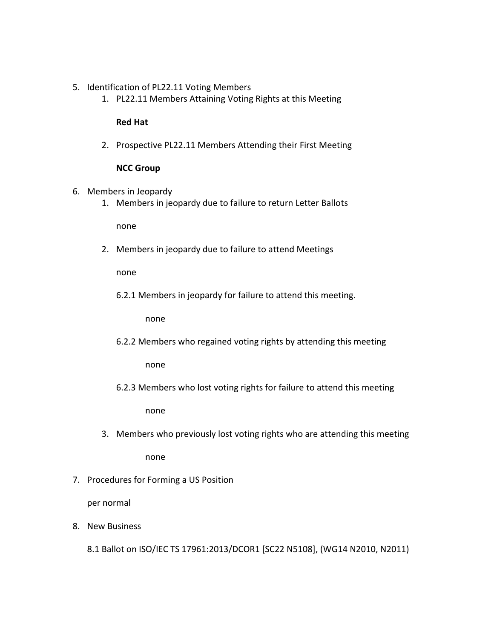- 5. Identification of PL22.11 Voting Members
	- 1. PL22.11 Members Attaining Voting Rights at this Meeting

#### **Red Hat**

2. Prospective PL22.11 Members Attending their First Meeting

#### **NCC Group**

- 6. Members in Jeopardy
	- 1. Members in jeopardy due to failure to return Letter Ballots

none

2. Members in jeopardy due to failure to attend Meetings

none

6.2.1 Members in jeopardy for failure to attend this meeting.

none

6.2.2 Members who regained voting rights by attending this meeting

none

6.2.3 Members who lost voting rights for failure to attend this meeting

none

- 3. Members who previously lost voting rights who are attending this meeting none
- 7. Procedures for Forming a US Position

per normal

8. New Business

8.1 Ballot on ISO/IEC TS 17961:2013/DCOR1 [SC22 N5108], (WG14 N2010, N2011)